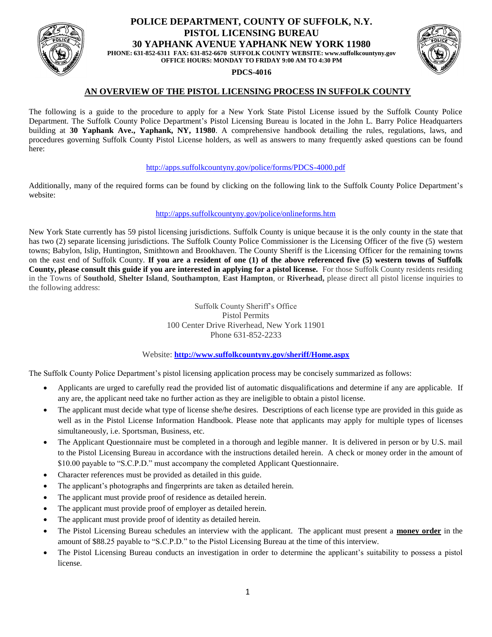

## **POLICE DEPARTMENT, COUNTY OF SUFFOLK, N.Y. PISTOL LICENSING BUREAU 30 YAPHANK AVENUE YAPHANK NEW YORK 11980 PHONE: 631-852-6311 FAX: 631-852-6670 SUFFOLK COUNTY WEBSITE: www.suffolkcountyny.gov OFFICE HOURS: MONDAY TO FRIDAY 9:00 AM TO 4:30 PM**

#### **PDCS-4016**



# **AN OVERVIEW OF THE PISTOL LICENSING PROCESS IN SUFFOLK COUNTY**

The following is a guide to the procedure to apply for a New York State Pistol License issued by the Suffolk County Police Department. The Suffolk County Police Department's Pistol Licensing Bureau is located in the John L. Barry Police Headquarters building at **30 Yaphank Ave., Yaphank, NY, 11980**. A comprehensive handbook detailing the rules, regulations, laws, and procedures governing Suffolk County Pistol License holders, as well as answers to many frequently asked questions can be found here:

#### <http://apps.suffolkcountyny.gov/police/forms/PDCS-4000.pdf>

Additionally, many of the required forms can be found by clicking on the following link to the Suffolk County Police Department's website:

### <http://apps.suffolkcountyny.gov/police/onlineforms.htm>

New York State currently has 59 pistol licensing jurisdictions. Suffolk County is unique because it is the only county in the state that has two (2) separate licensing jurisdictions. The Suffolk County Police Commissioner is the Licensing Officer of the five (5) western towns; Babylon, Islip, Huntington, Smithtown and Brookhaven. The County Sheriff is the Licensing Officer for the remaining towns on the east end of Suffolk County. **If you are a resident of one (1) of the above referenced five (5) western towns of Suffolk County, please consult this guide if you are interested in applying for a pistol license.** For those Suffolk County residents residing in the Towns of **Southold**, **Shelter Island**, **Southampton**, **East Hampton**, or **Riverhead,** please direct all pistol license inquiries to the following address:

> Suffolk County Sheriff's Office Pistol Permits 100 Center Drive Riverhead, New York 11901 Phone 631-852-2233

### Website: **<http://www.suffolkcountyny.gov/sheriff/Home.aspx>**

The Suffolk County Police Department's pistol licensing application process may be concisely summarized as follows:

- Applicants are urged to carefully read the provided list of automatic disqualifications and determine if any are applicable. If any are, the applicant need take no further action as they are ineligible to obtain a pistol license.
- The applicant must decide what type of license she/he desires. Descriptions of each license type are provided in this guide as well as in the Pistol License Information Handbook. Please note that applicants may apply for multiple types of licenses simultaneously, i.e. Sportsman, Business, etc.
- The Applicant Questionnaire must be completed in a thorough and legible manner. It is delivered in person or by U.S. mail to the Pistol Licensing Bureau in accordance with the instructions detailed herein. A check or money order in the amount of \$10.00 payable to "S.C.P.D." must accompany the completed Applicant Questionnaire.
- Character references must be provided as detailed in this guide.
- The applicant's photographs and fingerprints are taken as detailed herein.
- The applicant must provide proof of residence as detailed herein.
- The applicant must provide proof of employer as detailed herein.
- The applicant must provide proof of identity as detailed herein.
- The Pistol Licensing Bureau schedules an interview with the applicant. The applicant must present a **money order** in the amount of \$88.25 payable to "S.C.P.D." to the Pistol Licensing Bureau at the time of this interview.
- The Pistol Licensing Bureau conducts an investigation in order to determine the applicant's suitability to possess a pistol license.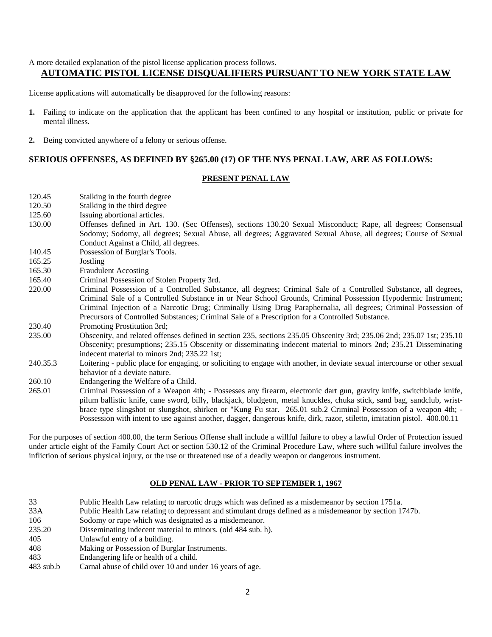A more detailed explanation of the pistol license application process follows.

# **AUTOMATIC PISTOL LICENSE DISQUALIFIERS PURSUANT TO NEW YORK STATE LAW**

License applications will automatically be disapproved for the following reasons:

- **1.** Failing to indicate on the application that the applicant has been confined to any hospital or institution, public or private for mental illness.
- **2.** Being convicted anywhere of a felony or serious offense.

## **SERIOUS OFFENSES, AS DEFINED BY §265.00 (17) OF THE NYS PENAL LAW, ARE AS FOLLOWS:**

### **PRESENT PENAL LAW**

- 120.45 Stalking in the fourth degree
- 120.50 Stalking in the third degree
- 125.60 Issuing abortional articles.
- 130.00 Offenses defined in Art. 130. (Sec Offenses), sections 130.20 Sexual Misconduct; Rape, all degrees; Consensual Sodomy; Sodomy, all degrees; Sexual Abuse, all degrees; Aggravated Sexual Abuse, all degrees; Course of Sexual Conduct Against a Child, all degrees.
- 140.45 Possession of Burglar's Tools.
- 165.25 Jostling
- 165.30 Fraudulent Accosting
- 165.40 Criminal Possession of Stolen Property 3rd.
- 220.00 Criminal Possession of a Controlled Substance, all degrees; Criminal Sale of a Controlled Substance, all degrees, Criminal Sale of a Controlled Substance in or Near School Grounds, Criminal Possession Hypodermic Instrument; Criminal Injection of a Narcotic Drug; Criminally Using Drug Paraphernalia, all degrees; Criminal Possession of Precursors of Controlled Substances; Criminal Sale of a Prescription for a Controlled Substance.
- 230.40 Promoting Prostitution 3rd;
- 235.00 Obscenity, and related offenses defined in section 235, sections 235.05 Obscenity 3rd; 235.06 2nd; 235.07 1st; 235.10 Obscenity; presumptions; 235.15 Obscenity or disseminating indecent material to minors 2nd; 235.21 Disseminating indecent material to minors 2nd; 235.22 1st;
- 240.35.3 Loitering public place for engaging, or soliciting to engage with another, in deviate sexual intercourse or other sexual behavior of a deviate nature.
- 260.10 Endangering the Welfare of a Child.
- 265.01 Criminal Possession of a Weapon 4th; Possesses any firearm, electronic dart gun, gravity knife, switchblade knife, pilum ballistic knife, cane sword, billy, blackjack, bludgeon, metal knuckles, chuka stick, sand bag, sandclub, wristbrace type slingshot or slungshot, shirken or "Kung Fu star. 265.01 sub.2 Criminal Possession of a weapon 4th; - Possession with intent to use against another, dagger, dangerous knife, dirk, razor, stiletto, imitation pistol. 400.00.11

For the purposes of section 400.00, the term Serious Offense shall include a willful failure to obey a lawful Order of Protection issued under article eight of the Family Court Act or section 530.12 of the Criminal Procedure Law, where such willful failure involves the infliction of serious physical injury, or the use or threatened use of a deadly weapon or dangerous instrument.

### **OLD PENAL LAW - PRIOR TO SEPTEMBER 1, 1967**

 Public Health Law relating to narcotic drugs which was defined as a misdemeanor by section 1751a. 33A Public Health Law relating to depressant and stimulant drugs defined as a misdemeanor by section 1747b. Sodomy or rape which was designated as a misdemeanor. 235.20 Disseminating indecent material to minors. (old 484 sub. h). Unlawful entry of a building. Making or Possession of Burglar Instruments. Endangering life or health of a child. 483 sub.b Carnal abuse of child over 10 and under 16 years of age.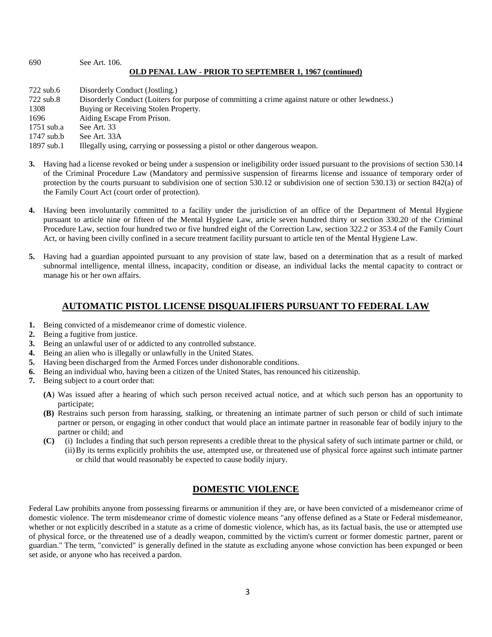#### 690 See Art. 106. **OLD PENAL LAW - PRIOR TO SEPTEMBER 1, 1967 (continued)**

722 sub.6 Disorderly Conduct (Jostling.) 722 sub.8 Disorderly Conduct (Loiters for purpose of committing a crime against nature or other lewdness.) 1308 Buying or Receiving Stolen Property. 1696 Aiding Escape From Prison. 1751 sub.a See Art. 33 1747 sub.b See Art. 33A 1897 sub.1 Illegally using, carrying or possessing a pistol or other dangerous weapon.

- **3.** Having had a license revoked or being under a suspension or ineligibility order issued pursuant to the provisions of section 530.14 of the Criminal Procedure Law (Mandatory and permissive suspension of firearms license and issuance of temporary order of protection by the courts pursuant to subdivision one of section 530.12 or subdivision one of section 530.13) or section 842(a) of the Family Court Act (court order of protection).
- **4.** Having been involuntarily committed to a facility under the jurisdiction of an office of the Department of Mental Hygiene pursuant to article nine or fifteen of the Mental Hygiene Law, article seven hundred thirty or section 330.20 of the Criminal Procedure Law, section four hundred two or five hundred eight of the Correction Law, section 322.2 or 353.4 of the Family Court Act, or having been civilly confined in a secure treatment facility pursuant to article ten of the Mental Hygiene Law.
- **5.** Having had a guardian appointed pursuant to any provision of state law, based on a determination that as a result of marked subnormal intelligence, mental illness, incapacity, condition or disease, an individual lacks the mental capacity to contract or manage his or her own affairs.

# **AUTOMATIC PISTOL LICENSE DISQUALIFIERS PURSUANT TO FEDERAL LAW**

- **1.** Being convicted of a misdemeanor crime of domestic violence.
- **2.** Being a fugitive from justice.
- **3.** Being an unlawful user of or addicted to any controlled substance.
- **4.** Being an alien who is illegally or unlawfully in the United States.
- **5.** Having been discharged from the Armed Forces under dishonorable conditions.
- **6.** Being an individual who, having been a citizen of the United States, has renounced his citizenship.
- **7.** Being subject to a court order that:
	- **(A**) Was issued after a hearing of which such person received actual notice, and at which such person has an opportunity to participate;
	- **(B)** Restrains such person from harassing, stalking, or threatening an intimate partner of such person or child of such intimate partner or person, or engaging in other conduct that would place an intimate partner in reasonable fear of bodily injury to the partner or child; and
	- **(C)** (i) Includes a finding that such person represents a credible threat to the physical safety of such intimate partner or child, or (ii)By its terms explicitly prohibits the use, attempted use, or threatened use of physical force against such intimate partner or child that would reasonably be expected to cause bodily injury.

# **DOMESTIC VIOLENCE**

Federal Law prohibits anyone from possessing firearms or ammunition if they are, or have been convicted of a misdemeanor crime of domestic violence. The term misdemeanor crime of domestic violence means "any offense defined as a State or Federal misdemeanor, whether or not explicitly described in a statute as a crime of domestic violence, which has, as its factual basis, the use or attempted use of physical force, or the threatened use of a deadly weapon, committed by the victim's current or former domestic partner, parent or guardian." The term, "convicted" is generally defined in the statute as excluding anyone whose conviction has been expunged or been set aside, or anyone who has received a pardon.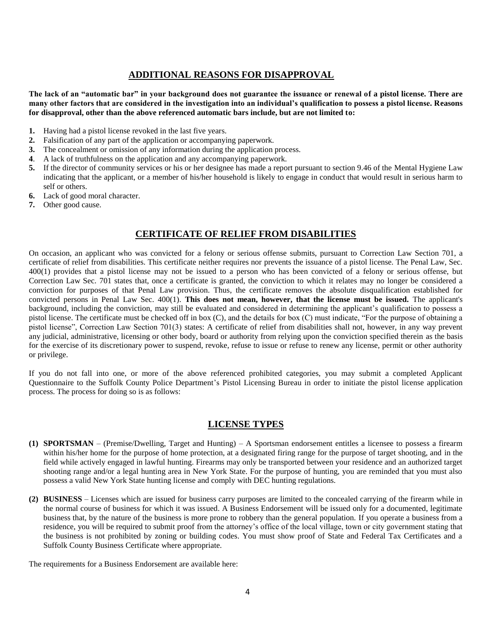# **ADDITIONAL REASONS FOR DISAPPROVAL**

**The lack of an "automatic bar" in your background does not guarantee the issuance or renewal of a pistol license. There are many other factors that are considered in the investigation into an individual's qualification to possess a pistol license. Reasons for disapproval, other than the above referenced automatic bars include, but are not limited to:**

- **1.** Having had a pistol license revoked in the last five years.
- **2.** Falsification of any part of the application or accompanying paperwork.
- **3.** The concealment or omission of any information during the application process.
- **4**. A lack of truthfulness on the application and any accompanying paperwork.
- **5.** If the director of community services or his or her designee has made a report pursuant to section 9.46 of the Mental Hygiene Law indicating that the applicant, or a member of his/her household is likely to engage in conduct that would result in serious harm to self or others.
- **6.** Lack of good moral character.
- **7.** Other good cause.

# **CERTIFICATE OF RELIEF FROM DISABILITIES**

On occasion, an applicant who was convicted for a felony or serious offense submits, pursuant to Correction Law Section 701, a certificate of relief from disabilities. This certificate neither requires nor prevents the issuance of a pistol license. The Penal Law, Sec. 400(1) provides that a pistol license may not be issued to a person who has been convicted of a felony or serious offense, but Correction Law Sec. 701 states that, once a certificate is granted, the conviction to which it relates may no longer be considered a conviction for purposes of that Penal Law provision. Thus, the certificate removes the absolute disqualification established for convicted persons in Penal Law Sec. 400(1). **This does not mean, however, that the license must be issued.** The applicant's background, including the conviction, may still be evaluated and considered in determining the applicant's qualification to possess a pistol license. The certificate must be checked off in box (C), and the details for box (C) must indicate, "For the purpose of obtaining a pistol license", Correction Law Section 701(3) states: A certificate of relief from disabilities shall not, however, in any way prevent any judicial, administrative, licensing or other body, board or authority from relying upon the conviction specified therein as the basis for the exercise of its discretionary power to suspend, revoke, refuse to issue or refuse to renew any license, permit or other authority or privilege.

If you do not fall into one, or more of the above referenced prohibited categories, you may submit a completed Applicant Questionnaire to the Suffolk County Police Department's Pistol Licensing Bureau in order to initiate the pistol license application process. The process for doing so is as follows:

# **LICENSE TYPES**

- **(1) SPORTSMAN** (Premise/Dwelling, Target and Hunting) A Sportsman endorsement entitles a licensee to possess a firearm within his/her home for the purpose of home protection, at a designated firing range for the purpose of target shooting, and in the field while actively engaged in lawful hunting. Firearms may only be transported between your residence and an authorized target shooting range and/or a legal hunting area in New York State. For the purpose of hunting, you are reminded that you must also possess a valid New York State hunting license and comply with DEC hunting regulations.
- **(2) BUSINESS**  Licenses which are issued for business carry purposes are limited to the concealed carrying of the firearm while in the normal course of business for which it was issued. A Business Endorsement will be issued only for a documented, legitimate business that, by the nature of the business is more prone to robbery than the general population. If you operate a business from a residence, you will be required to submit proof from the attorney's office of the local village, town or city government stating that the business is not prohibited by zoning or building codes. You must show proof of State and Federal Tax Certificates and a Suffolk County Business Certificate where appropriate.

The requirements for a Business Endorsement are available here: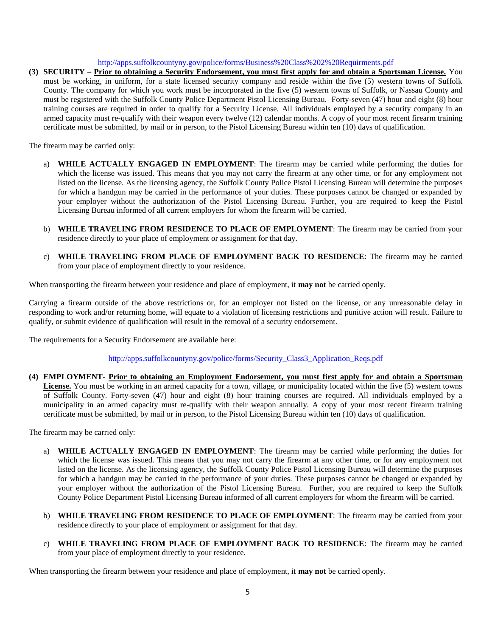### <http://apps.suffolkcountyny.gov/police/forms/Business%20Class%202%20Requirments.pdf>

**(3) SECURITY** – **Prior to obtaining a Security Endorsement, you must first apply for and obtain a Sportsman License.** You must be working, in uniform, for a state licensed security company and reside within the five (5) western towns of Suffolk County. The company for which you work must be incorporated in the five (5) western towns of Suffolk, or Nassau County and must be registered with the Suffolk County Police Department Pistol Licensing Bureau. Forty-seven (47) hour and eight (8) hour training courses are required in order to qualify for a Security License. All individuals employed by a security company in an armed capacity must re-qualify with their weapon every twelve (12) calendar months. A copy of your most recent firearm training certificate must be submitted, by mail or in person, to the Pistol Licensing Bureau within ten (10) days of qualification.

The firearm may be carried only:

- a) **WHILE ACTUALLY ENGAGED IN EMPLOYMENT**: The firearm may be carried while performing the duties for which the license was issued. This means that you may not carry the firearm at any other time, or for any employment not listed on the license. As the licensing agency, the Suffolk County Police Pistol Licensing Bureau will determine the purposes for which a handgun may be carried in the performance of your duties. These purposes cannot be changed or expanded by your employer without the authorization of the Pistol Licensing Bureau. Further, you are required to keep the Pistol Licensing Bureau informed of all current employers for whom the firearm will be carried.
- b) **WHILE TRAVELING FROM RESIDENCE TO PLACE OF EMPLOYMENT**: The firearm may be carried from your residence directly to your place of employment or assignment for that day.
- c) **WHILE TRAVELING FROM PLACE OF EMPLOYMENT BACK TO RESIDENCE**: The firearm may be carried from your place of employment directly to your residence.

When transporting the firearm between your residence and place of employment, it **may not** be carried openly.

Carrying a firearm outside of the above restrictions or, for an employer not listed on the license, or any unreasonable delay in responding to work and/or returning home, will equate to a violation of licensing restrictions and punitive action will result. Failure to qualify, or submit evidence of qualification will result in the removal of a security endorsement.

The requirements for a Security Endorsement are available here:

[http://apps.suffolkcountyny.gov/police/forms/Security\\_Class3\\_Application\\_Reqs.pdf](http://apps.suffolkcountyny.gov/police/forms/Security_Class3_Application_Reqs.pdf)

**(4) EMPLOYMENT**- **Prior to obtaining an Employment Endorsement, you must first apply for and obtain a Sportsman**  License. You must be working in an armed capacity for a town, village, or municipality located within the five (5) western towns of Suffolk County. Forty-seven (47) hour and eight (8) hour training courses are required. All individuals employed by a municipality in an armed capacity must re-qualify with their weapon annually. A copy of your most recent firearm training certificate must be submitted, by mail or in person, to the Pistol Licensing Bureau within ten (10) days of qualification.

The firearm may be carried only:

- a) **WHILE ACTUALLY ENGAGED IN EMPLOYMENT**: The firearm may be carried while performing the duties for which the license was issued. This means that you may not carry the firearm at any other time, or for any employment not listed on the license. As the licensing agency, the Suffolk County Police Pistol Licensing Bureau will determine the purposes for which a handgun may be carried in the performance of your duties. These purposes cannot be changed or expanded by your employer without the authorization of the Pistol Licensing Bureau. Further, you are required to keep the Suffolk County Police Department Pistol Licensing Bureau informed of all current employers for whom the firearm will be carried.
- b) **WHILE TRAVELING FROM RESIDENCE TO PLACE OF EMPLOYMENT**: The firearm may be carried from your residence directly to your place of employment or assignment for that day.
- c) **WHILE TRAVELING FROM PLACE OF EMPLOYMENT BACK TO RESIDENCE**: The firearm may be carried from your place of employment directly to your residence.

When transporting the firearm between your residence and place of employment, it **may not** be carried openly.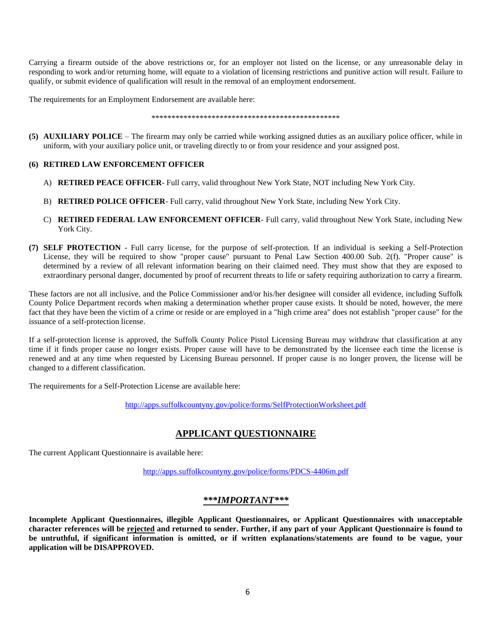Carrying a firearm outside of the above restrictions or, for an employer not listed on the license, or any unreasonable delay in responding to work and/or returning home, will equate to a violation of licensing restrictions and punitive action will result. Failure to qualify, or submit evidence of qualification will result in the removal of an employment endorsement.

The requirements for an Employment Endorsement are available here:

\*\*\*\*\*\*\*\*\*\*\*\*\*\*\*\*\*\*\*\*\*\*\*\*\*\*\*\*\*\*\*\*\*\*\*\*\*\*\*\*\*\*\*\*\*\*\*

**(5) AUXILIARY POLICE** – The firearm may only be carried while working assigned duties as an auxiliary police officer, while in uniform, with your auxiliary police unit, or traveling directly to or from your residence and your assigned post.

### **(6) RETIRED LAW ENFORCEMENT OFFICER**

- A) **RETIRED PEACE OFFICER** Full carry, valid throughout New York State, NOT including New York City.
- B) **RETIRED POLICE OFFICER** Full carry, valid throughout New York State, including New York City.
- C) **RETIRED FEDERAL LAW ENFORCEMENT OFFICER** Full carry, valid throughout New York State, including New York City.
- **(7) SELF PROTECTION** Full carry license, for the purpose of self-protection. If an individual is seeking a Self-Protection License, they will be required to show "proper cause" pursuant to Penal Law Section 400.00 Sub. 2(f). "Proper cause" is determined by a review of all relevant information bearing on their claimed need. They must show that they are exposed to extraordinary personal danger, documented by proof of recurrent threats to life or safety requiring authorization to carry a firearm.

These factors are not all inclusive, and the Police Commissioner and/or his/her designee will consider all evidence, including Suffolk County Police Department records when making a determination whether proper cause exists. It should be noted, however, the mere fact that they have been the victim of a crime or reside or are employed in a "high crime area" does not establish "proper cause" for the issuance of a self-protection license.

If a self-protection license is approved, the Suffolk County Police Pistol Licensing Bureau may withdraw that classification at any time if it finds proper cause no longer exists. Proper cause will have to be demonstrated by the licensee each time the license is renewed and at any time when requested by Licensing Bureau personnel. If proper cause is no longer proven, the license will be changed to a different classification.

The requirements for a Self-Protection License are available here:

<http://apps.suffolkcountyny.gov/police/forms/SelfProtectionWorksheet.pdf>

# **APPLICANT QUESTIONNAIRE**

The current Applicant Questionnaire is available here:

<http://apps.suffolkcountyny.gov/police/forms/PDCS-4406m.pdf>

# *\*\*\*IMPORTANT\*\*\**

**Incomplete Applicant Questionnaires, illegible Applicant Questionnaires, or Applicant Questionnaires with unacceptable character references will be rejected and returned to sender. Further, if any part of your Applicant Questionnaire is found to be untruthful, if significant information is omitted, or if written explanations/statements are found to be vague, your application will be DISAPPROVED.**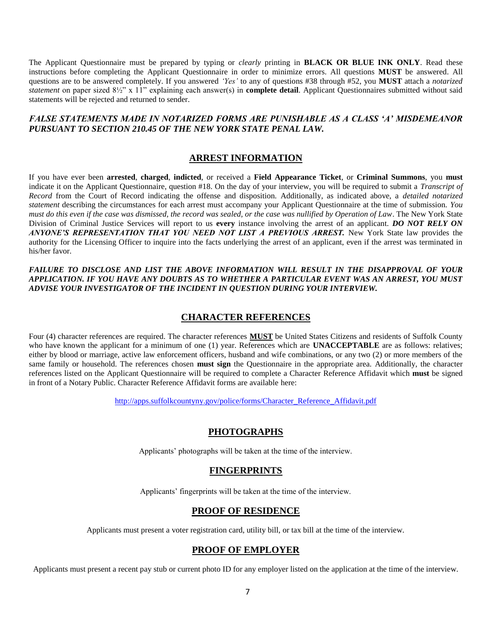The Applicant Questionnaire must be prepared by typing or *clearly* printing in **BLACK OR BLUE INK ONLY**. Read these instructions before completing the Applicant Questionnaire in order to minimize errors. All questions **MUST** be answered. All questions are to be answered completely. If you answered *'Yes'* to any of questions #38 through #52, you **MUST** attach a *notarized statement* on paper sized 8½" x 11" explaining each answer(s) in **complete detail**. Applicant Questionnaires submitted without said statements will be rejected and returned to sender.

## *FALSE STATEMENTS MADE IN NOTARIZED FORMS ARE PUNISHABLE AS A CLASS 'A' MISDEMEANOR PURSUANT TO SECTION 210.45 OF THE NEW YORK STATE PENAL LAW.*

# **ARREST INFORMATION**

If you have ever been **arrested**, **charged**, **indicted**, or received a **Field Appearance Ticket**, or **Criminal Summons**, you **must**  indicate it on the Applicant Questionnaire, question #18. On the day of your interview, you will be required to submit a *Transcript of Record* from the Court of Record indicating the offense and disposition. Additionally, as indicated above, a *detailed notarized statement* describing the circumstances for each arrest must accompany your Applicant Questionnaire at the time of submission. *You must do this even if the case was dismissed, the record was sealed, or the case was nullified by Operation of Law*. The New York State Division of Criminal Justice Services will report to us **every** instance involving the arrest of an applicant. *DO NOT RELY ON ANYONE'S REPRESENTATION THAT YOU NEED NOT LIST A PREVIOUS ARREST.* New York State law provides the authority for the Licensing Officer to inquire into the facts underlying the arrest of an applicant, even if the arrest was terminated in his/her favor.

*FAILURE TO DISCLOSE AND LIST THE ABOVE INFORMATION WILL RESULT IN THE DISAPPROVAL OF YOUR APPLICATION. IF YOU HAVE ANY DOUBTS AS TO WHETHER A PARTICULAR EVENT WAS AN ARREST, YOU MUST ADVISE YOUR INVESTIGATOR OF THE INCIDENT IN QUESTION DURING YOUR INTERVIEW.* 

### **CHARACTER REFERENCES**

Four (4) character references are required. The character references **MUST** be United States Citizens and residents of Suffolk County who have known the applicant for a minimum of one (1) year. References which are **UNACCEPTABLE** are as follows: relatives; either by blood or marriage, active law enforcement officers, husband and wife combinations, or any two (2) or more members of the same family or household. The references chosen **must sign** the Questionnaire in the appropriate area. Additionally, the character references listed on the Applicant Questionnaire will be required to complete a Character Reference Affidavit which **must** be signed in front of a Notary Public. Character Reference Affidavit forms are available here:

[http://apps.suffolkcountyny.gov/police/forms/Character\\_Reference\\_Affidavit.pdf](http://apps.suffolkcountyny.gov/police/forms/Character_Reference_Affidavit.pdf)

### **PHOTOGRAPHS**

Applicants' photographs will be taken at the time of the interview.

# **FINGERPRINTS**

Applicants' fingerprints will be taken at the time of the interview.

# **PROOF OF RESIDENCE**

Applicants must present a voter registration card, utility bill, or tax bill at the time of the interview.

# **PROOF OF EMPLOYER**

Applicants must present a recent pay stub or current photo ID for any employer listed on the application at the time of the interview.